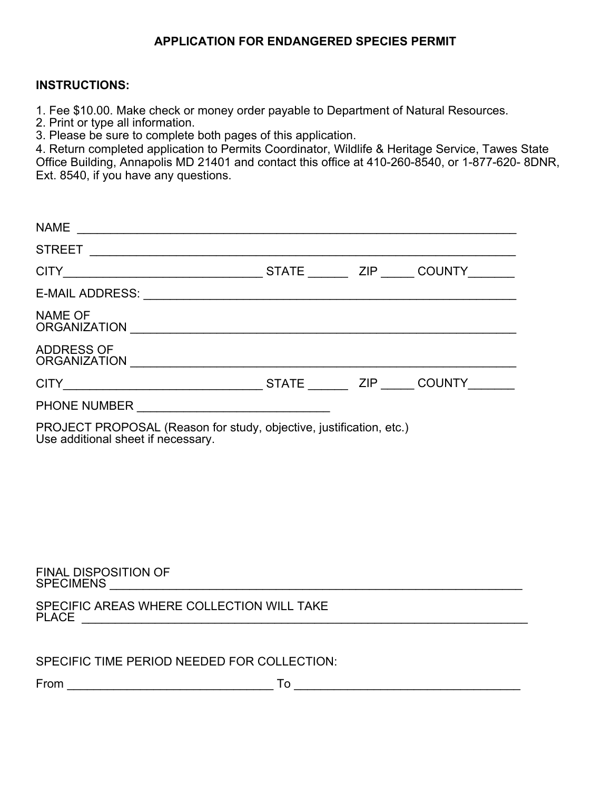# **APPLICATION FOR ENDANGERED SPECIES PERMIT**

#### **INSTRUCTIONS:**

1. Fee \$10.00. Make check or money order payable to Department of Natural Resources.

2. Print or type all information.

3. Please be sure to complete both pages of this application.

4. Return completed application to Permits Coordinator, Wildlife & Heritage Service, Tawes State Office Building, Annapolis MD 21401 and contact this office at 410-260-8540, or 1-877-620- 8DNR, Ext. 8540, if you have any questions.

| <b>NAME</b>                              |              |     |               |  |
|------------------------------------------|--------------|-----|---------------|--|
| <b>STREET</b>                            |              |     |               |  |
| <b>CITY</b>                              | <b>STATE</b> |     | ZIP COUNTY    |  |
| <b>E-MAIL ADDRESS:</b>                   |              |     |               |  |
| <b>NAME OF</b><br><b>ORGANIZATION</b>    |              |     |               |  |
| <b>ADDRESS OF</b><br><b>ORGANIZATION</b> |              |     |               |  |
| <b>CITY</b>                              | <b>STATE</b> | ZIP | <b>COUNTY</b> |  |
| <b>PHONE NUMBER</b>                      |              |     |               |  |

PROJECT PROPOSAL (Reason for study, objective, justification, etc.)<br>Use additional sheet if necessary.

#### FINAL DISPOSITION OF SPECIMENS \_\_\_\_\_\_\_\_\_\_\_\_\_\_\_\_\_\_\_\_\_\_\_\_\_\_\_\_\_\_\_\_\_\_\_\_\_\_\_\_\_\_\_\_\_\_\_\_\_\_\_\_\_\_\_\_\_\_\_\_\_\_

| SPECIFIC AREAS WHERE COLLECTION WILL TAKE |  |
|-------------------------------------------|--|
| <b>PLACE</b>                              |  |

From \_\_\_\_\_\_\_\_\_\_\_\_\_\_\_\_\_\_\_\_\_\_\_\_\_\_\_\_\_\_\_ To \_\_\_\_\_\_\_\_\_\_\_\_\_\_\_\_\_\_\_\_\_\_\_\_\_\_\_\_\_\_\_\_\_\_